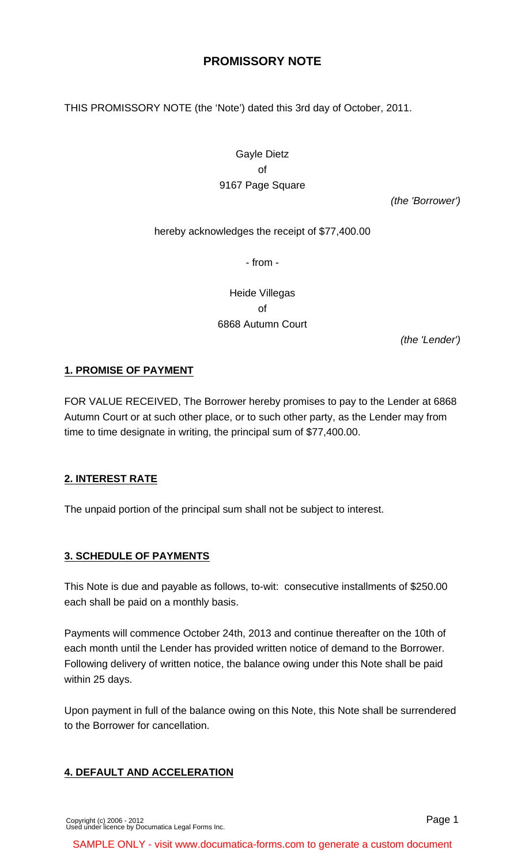# **PROMISSORY NOTE**

THIS PROMISSORY NOTE (the 'Note') dated this 3rd day of October, 2011.

Gayle Dietz of 9167 Page Square

(the 'Borrower')

hereby acknowledges the receipt of \$77,400.00

- from -

Heide Villegas of 6868 Autumn Court

(the 'Lender')

#### **1. PROMISE OF PAYMENT**

FOR VALUE RECEIVED, The Borrower hereby promises to pay to the Lender at 6868 Autumn Court or at such other place, or to such other party, as the Lender may from time to time designate in writing, the principal sum of \$77,400.00.

#### **2. INTEREST RATE**

The unpaid portion of the principal sum shall not be subject to interest.

#### **3. SCHEDULE OF PAYMENTS**

This Note is due and payable as follows, to-wit: consecutive installments of \$250.00 each shall be paid on a monthly basis.

Payments will commence October 24th, 2013 and continue thereafter on the 10th of each month until the Lender has provided written notice of demand to the Borrower. Following delivery of written notice, the balance owing under this Note shall be paid within 25 days.

Upon payment in full of the balance owing on this Note, this Note shall be surrendered to the Borrower for cancellation.

#### **4. DEFAULT AND ACCELERATION**

SAMPLE ONLY - visit www.documatica-forms.com to generate a custom document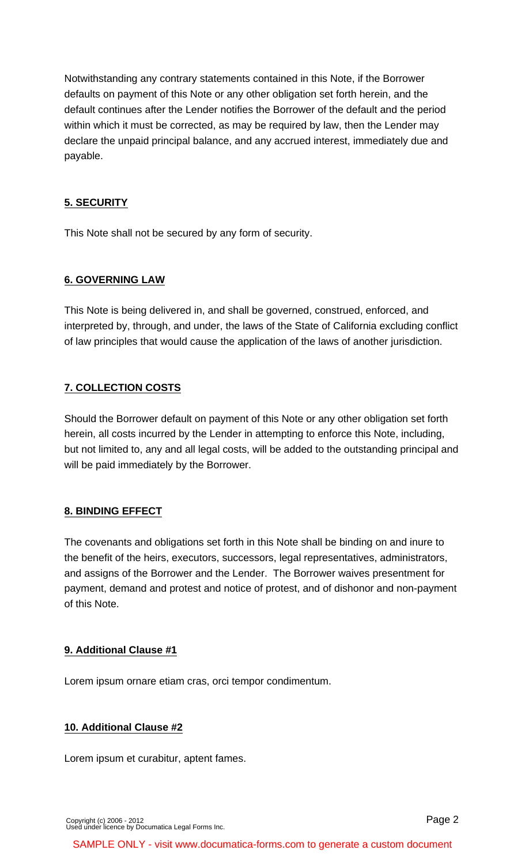Notwithstanding any contrary statements contained in this Note, if the Borrower defaults on payment of this Note or any other obligation set forth herein, and the default continues after the Lender notifies the Borrower of the default and the period within which it must be corrected, as may be required by law, then the Lender may declare the unpaid principal balance, and any accrued interest, immediately due and payable.

## **5. SECURITY**

This Note shall not be secured by any form of security.

### **6. GOVERNING LAW**

This Note is being delivered in, and shall be governed, construed, enforced, and interpreted by, through, and under, the laws of the State of California excluding conflict of law principles that would cause the application of the laws of another jurisdiction.

### **7. COLLECTION COSTS**

Should the Borrower default on payment of this Note or any other obligation set forth herein, all costs incurred by the Lender in attempting to enforce this Note, including, but not limited to, any and all legal costs, will be added to the outstanding principal and will be paid immediately by the Borrower.

### **8. BINDING EFFECT**

The covenants and obligations set forth in this Note shall be binding on and inure to the benefit of the heirs, executors, successors, legal representatives, administrators, and assigns of the Borrower and the Lender. The Borrower waives presentment for payment, demand and protest and notice of protest, and of dishonor and non-payment of this Note.

#### **9. Additional Clause #1**

Lorem ipsum ornare etiam cras, orci tempor condimentum.

### **10. Additional Clause #2**

Lorem ipsum et curabitur, aptent fames.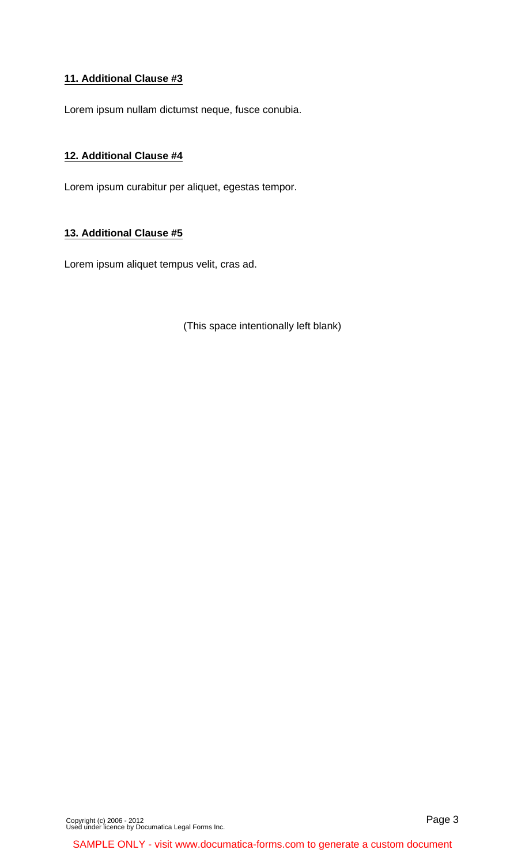### **11. Additional Clause #3**

Lorem ipsum nullam dictumst neque, fusce conubia.

### **12. Additional Clause #4**

Lorem ipsum curabitur per aliquet, egestas tempor.

#### **13. Additional Clause #5**

Lorem ipsum aliquet tempus velit, cras ad.

(This space intentionally left blank)